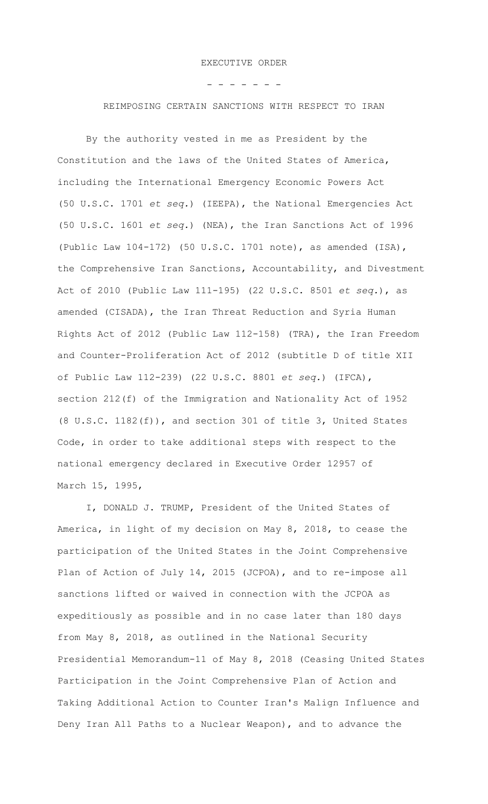- - - - - - -

REIMPOSING CERTAIN SANCTIONS WITH RESPECT TO IRAN

By the authority vested in me as President by the Constitution and the laws of the United States of America, including the International Emergency Economic Powers Act (50 U.S.C. 1701 *et seq.*) (IEEPA), the National Emergencies Act (50 U.S.C. 1601 *et seq.*) (NEA), the Iran Sanctions Act of 1996 (Public Law 104-172) (50 U.S.C. 1701 note), as amended (ISA), the Comprehensive Iran Sanctions, Accountability, and Divestment Act of 2010 (Public Law 111-195) (22 U.S.C. 8501 *et seq.*), as amended (CISADA), the Iran Threat Reduction and Syria Human Rights Act of 2012 (Public Law 112-158) (TRA), the Iran Freedom and Counter-Proliferation Act of 2012 (subtitle D of title XII of Public Law 112-239) (22 U.S.C. 8801 *et seq.*) (IFCA), section 212(f) of the Immigration and Nationality Act of 1952 (8 U.S.C. 1182(f)), and section 301 of title 3, United States Code, in order to take additional steps with respect to the national emergency declared in Executive Order 12957 of March 15, 1995,

I, DONALD J. TRUMP, President of the United States of America, in light of my decision on May 8, 2018, to cease the participation of the United States in the Joint Comprehensive Plan of Action of July 14, 2015 (JCPOA), and to re-impose all sanctions lifted or waived in connection with the JCPOA as expeditiously as possible and in no case later than 180 days from May 8, 2018, as outlined in the National Security Presidential Memorandum-11 of May 8, 2018 (Ceasing United States Participation in the Joint Comprehensive Plan of Action and Taking Additional Action to Counter Iran's Malign Influence and Deny Iran All Paths to a Nuclear Weapon), and to advance the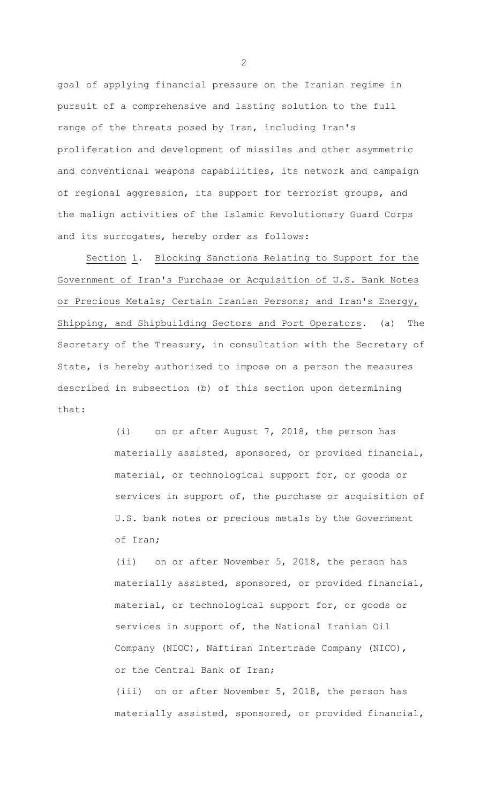goal of applying financial pressure on the Iranian regime in pursuit of a comprehensive and lasting solution to the full range of the threats posed by Iran, including Iran's proliferation and development of missiles and other asymmetric and conventional weapons capabilities, its network and campaign of regional aggression, its support for terrorist groups, and the malign activities of the Islamic Revolutionary Guard Corps and its surrogates, hereby order as follows:

Section 1. Blocking Sanctions Relating to Support for the Government of Iran's Purchase or Acquisition of U.S. Bank Notes or Precious Metals; Certain Iranian Persons; and Iran's Energy, Shipping, and Shipbuilding Sectors and Port Operators. (a) The Secretary of the Treasury, in consultation with the Secretary of State, is hereby authorized to impose on a person the measures described in subsection (b) of this section upon determining that:

> (i) on or after August 7, 2018, the person has materially assisted, sponsored, or provided financial, material, or technological support for, or goods or services in support of, the purchase or acquisition of U.S. bank notes or precious metals by the Government of Iran;

> (ii) on or after November 5, 2018, the person has materially assisted, sponsored, or provided financial, material, or technological support for, or goods or services in support of, the National Iranian Oil Company (NIOC), Naftiran Intertrade Company (NICO), or the Central Bank of Iran;

> (iii) on or after November 5, 2018, the person has materially assisted, sponsored, or provided financial,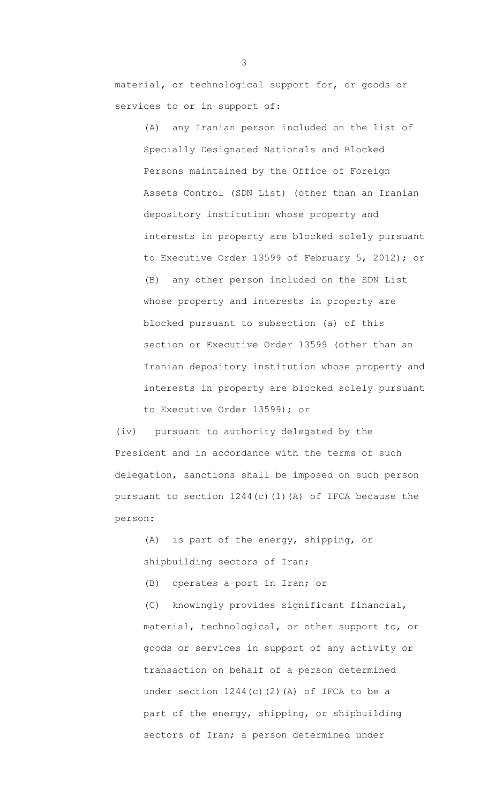material, or technological support for, or goods or services to or in support of:

(A) any Iranian person included on the list of Specially Designated Nationals and Blocked Persons maintained by the Office of Foreign Assets Control (SDN List) (other than an Iranian depository institution whose property and interests in property are blocked solely pursuant to Executive Order 13599 of February 5, 2012); or (B) any other person included on the SDN List whose property and interests in property are blocked pursuant to subsection (a) of this section or Executive Order 13599 (other than an Iranian depository institution whose property and interests in property are blocked solely pursuant to Executive Order 13599); or

(iv) pursuant to authority delegated by the President and in accordance with the terms of such delegation, sanctions shall be imposed on such person pursuant to section 1244(c)(1)(A) of IFCA because the person:

(A) is part of the energy, shipping, or shipbuilding sectors of Iran; (B) operates a port in Iran; or (C) knowingly provides significant financial, material, technological, or other support to, or goods or services in support of any activity or transaction on behalf of a person determined under section  $1244(c)(2)$  (A) of IFCA to be a part of the energy, shipping, or shipbuilding sectors of Iran; a person determined under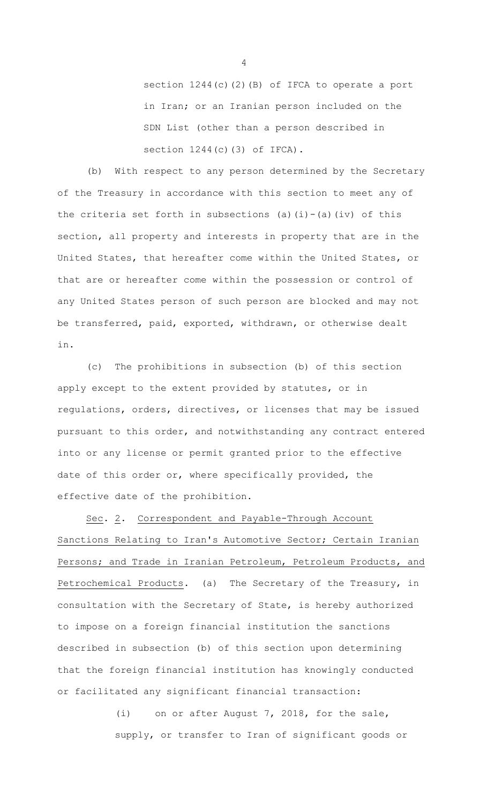section 1244(c)(2)(B) of IFCA to operate a port in Iran; or an Iranian person included on the SDN List (other than a person described in section 1244(c)(3) of IFCA).

(b) With respect to any person determined by the Secretary of the Treasury in accordance with this section to meet any of the criteria set forth in subsections (a)(i)-(a)(iv) of this section, all property and interests in property that are in the United States, that hereafter come within the United States, or that are or hereafter come within the possession or control of any United States person of such person are blocked and may not be transferred, paid, exported, withdrawn, or otherwise dealt in.

(c) The prohibitions in subsection (b) of this section apply except to the extent provided by statutes, or in regulations, orders, directives, or licenses that may be issued pursuant to this order, and notwithstanding any contract entered into or any license or permit granted prior to the effective date of this order or, where specifically provided, the effective date of the prohibition.

Sec. 2. Correspondent and Payable-Through Account Sanctions Relating to Iran's Automotive Sector; Certain Iranian Persons; and Trade in Iranian Petroleum, Petroleum Products, and Petrochemical Products. (a) The Secretary of the Treasury, in consultation with the Secretary of State, is hereby authorized to impose on a foreign financial institution the sanctions described in subsection (b) of this section upon determining that the foreign financial institution has knowingly conducted or facilitated any significant financial transaction:

> (i) on or after August 7, 2018, for the sale, supply, or transfer to Iran of significant goods or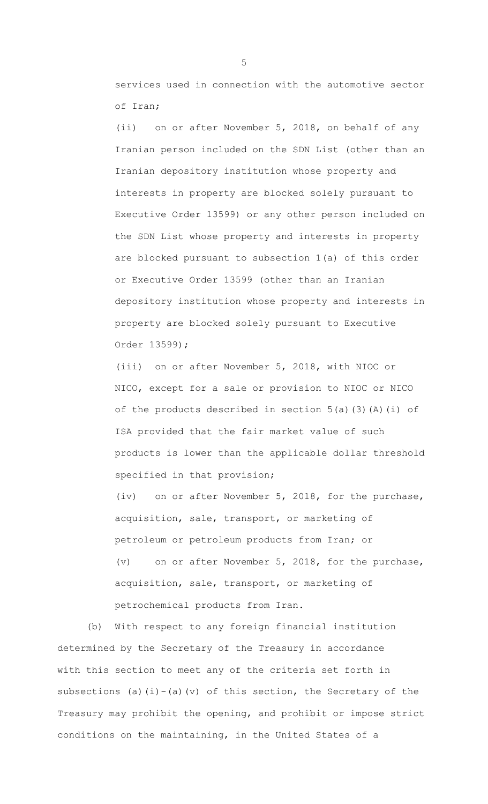services used in connection with the automotive sector of Iran;

(ii) on or after November 5, 2018, on behalf of any Iranian person included on the SDN List (other than an Iranian depository institution whose property and interests in property are blocked solely pursuant to Executive Order 13599) or any other person included on the SDN List whose property and interests in property are blocked pursuant to subsection 1(a) of this order or Executive Order 13599 (other than an Iranian depository institution whose property and interests in property are blocked solely pursuant to Executive Order 13599);

(iii) on or after November 5, 2018, with NIOC or NICO, except for a sale or provision to NIOC or NICO of the products described in section  $5(a)(3)(A)(i)$  of ISA provided that the fair market value of such products is lower than the applicable dollar threshold specified in that provision;

(iv) on or after November 5, 2018, for the purchase, acquisition, sale, transport, or marketing of petroleum or petroleum products from Iran; or

(v) on or after November 5, 2018, for the purchase, acquisition, sale, transport, or marketing of petrochemical products from Iran.

(b) With respect to any foreign financial institution determined by the Secretary of the Treasury in accordance with this section to meet any of the criteria set forth in subsections (a)(i)-(a)(v) of this section, the Secretary of the Treasury may prohibit the opening, and prohibit or impose strict conditions on the maintaining, in the United States of a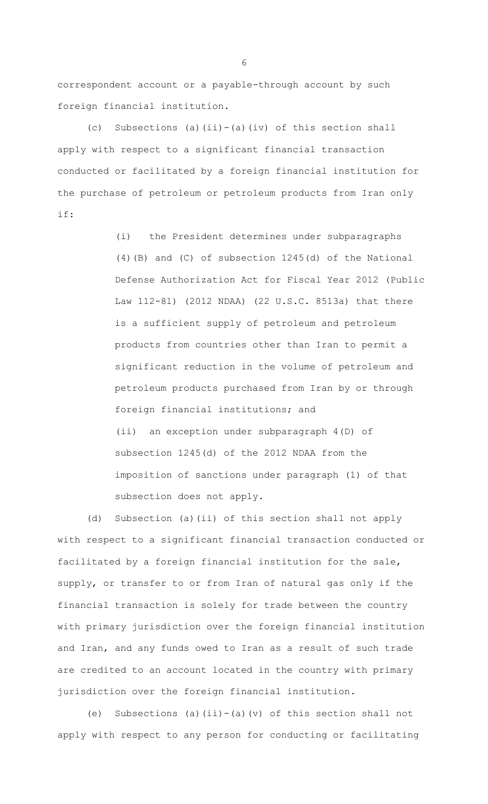correspondent account or a payable-through account by such foreign financial institution.

(c) Subsections (a)(ii)-(a)(iv) of this section shall apply with respect to a significant financial transaction conducted or facilitated by a foreign financial institution for the purchase of petroleum or petroleum products from Iran only if:

> (i) the President determines under subparagraphs (4)(B) and (C) of subsection 1245(d) of the National Defense Authorization Act for Fiscal Year 2012 (Public Law 112-81) (2012 NDAA) (22 U.S.C. 8513a) that there is a sufficient supply of petroleum and petroleum products from countries other than Iran to permit a significant reduction in the volume of petroleum and petroleum products purchased from Iran by or through foreign financial institutions; and

(ii) an exception under subparagraph 4(D) of subsection 1245(d) of the 2012 NDAA from the imposition of sanctions under paragraph (1) of that subsection does not apply.

(d) Subsection (a)(ii) of this section shall not apply with respect to a significant financial transaction conducted or facilitated by a foreign financial institution for the sale, supply, or transfer to or from Iran of natural gas only if the financial transaction is solely for trade between the country with primary jurisdiction over the foreign financial institution and Iran, and any funds owed to Iran as a result of such trade are credited to an account located in the country with primary jurisdiction over the foreign financial institution.

(e) Subsections (a)(ii)-(a)(v) of this section shall not apply with respect to any person for conducting or facilitating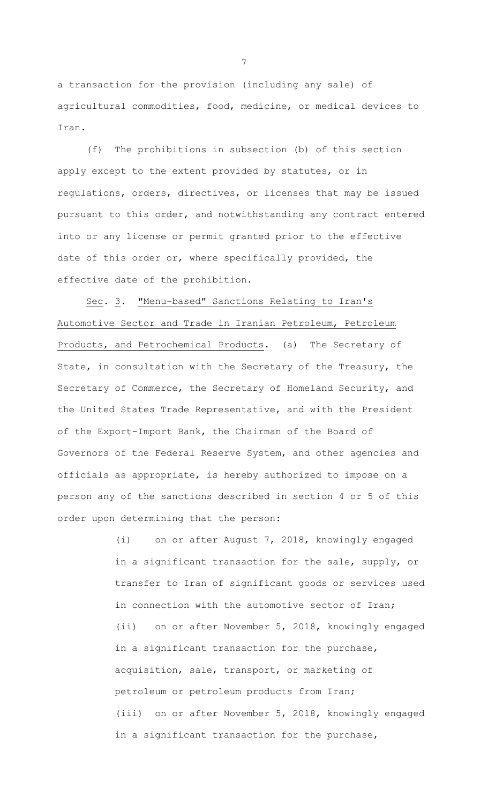a transaction for the provision (including any sale) of agricultural commodities, food, medicine, or medical devices to Iran.

(f) The prohibitions in subsection (b) of this section apply except to the extent provided by statutes, or in regulations, orders, directives, or licenses that may be issued pursuant to this order, and notwithstanding any contract entered into or any license or permit granted prior to the effective date of this order or, where specifically provided, the effective date of the prohibition.

Sec. 3. "Menu-based" Sanctions Relating to Iran's Automotive Sector and Trade in Iranian Petroleum, Petroleum Products, and Petrochemical Products. (a) The Secretary of State, in consultation with the Secretary of the Treasury, the Secretary of Commerce, the Secretary of Homeland Security, and the United States Trade Representative, and with the President of the Export-Import Bank, the Chairman of the Board of Governors of the Federal Reserve System, and other agencies and officials as appropriate, is hereby authorized to impose on a person any of the sanctions described in section 4 or 5 of this order upon determining that the person:

> (i) on or after August 7, 2018, knowingly engaged in a significant transaction for the sale, supply, or transfer to Iran of significant goods or services used in connection with the automotive sector of Iran; (ii) on or after November 5, 2018, knowingly engaged in a significant transaction for the purchase, acquisition, sale, transport, or marketing of petroleum or petroleum products from Iran; (iii) on or after November 5, 2018, knowingly engaged in a significant transaction for the purchase,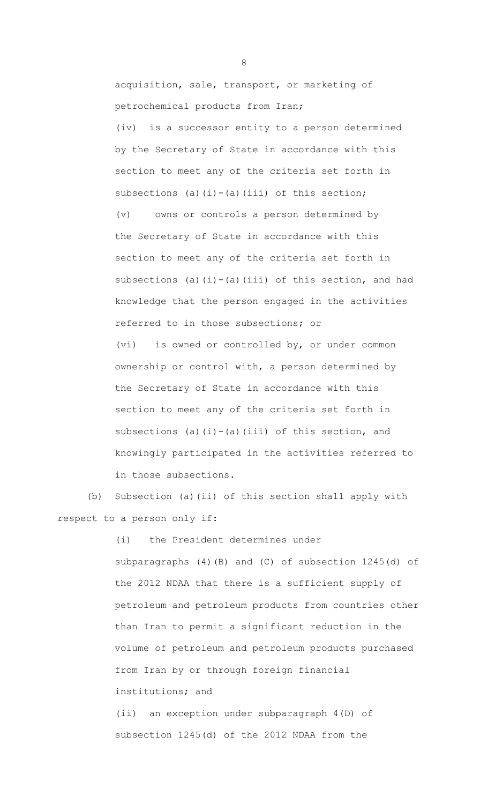acquisition, sale, transport, or marketing of petrochemical products from Iran;

(iv) is a successor entity to a person determined by the Secretary of State in accordance with this section to meet any of the criteria set forth in subsections (a)(i)-(a)(iii) of this section; (v) owns or controls a person determined by the Secretary of State in accordance with this section to meet any of the criteria set forth in subsections (a)(i)-(a)(iii) of this section, and had knowledge that the person engaged in the activities referred to in those subsections; or (vi) is owned or controlled by, or under common

ownership or control with, a person determined by the Secretary of State in accordance with this section to meet any of the criteria set forth in subsections (a)(i)-(a)(iii) of this section, and knowingly participated in the activities referred to in those subsections.

(b) Subsection (a)(ii) of this section shall apply with respect to a person only if:

> (i) the President determines under subparagraphs (4)(B) and (C) of subsection 1245(d) of the 2012 NDAA that there is a sufficient supply of petroleum and petroleum products from countries other than Iran to permit a significant reduction in the volume of petroleum and petroleum products purchased from Iran by or through foreign financial institutions; and

(ii) an exception under subparagraph 4(D) of subsection 1245(d) of the 2012 NDAA from the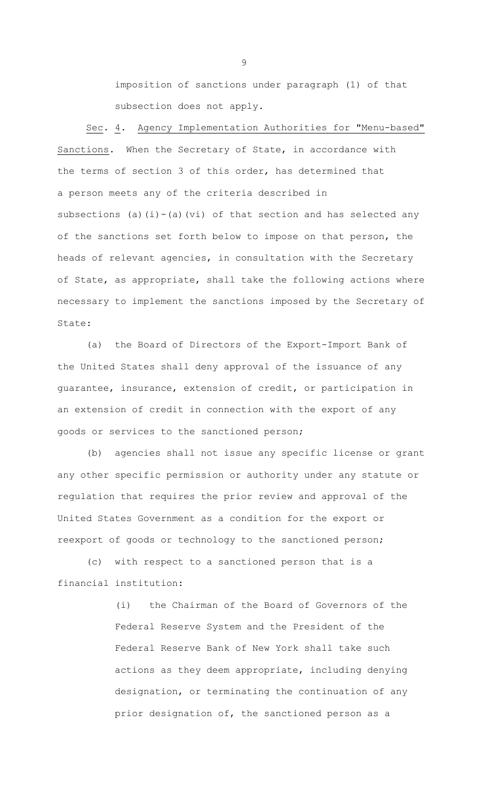imposition of sanctions under paragraph (1) of that subsection does not apply.

Sec. 4. Agency Implementation Authorities for "Menu-based" Sanctions. When the Secretary of State, in accordance with the terms of section 3 of this order, has determined that a person meets any of the criteria described in subsections (a)(i)-(a)(vi) of that section and has selected any of the sanctions set forth below to impose on that person, the heads of relevant agencies, in consultation with the Secretary of State, as appropriate, shall take the following actions where necessary to implement the sanctions imposed by the Secretary of State:

(a) the Board of Directors of the Export-Import Bank of the United States shall deny approval of the issuance of any guarantee, insurance, extension of credit, or participation in an extension of credit in connection with the export of any goods or services to the sanctioned person;

(b) agencies shall not issue any specific license or grant any other specific permission or authority under any statute or regulation that requires the prior review and approval of the United States Government as a condition for the export or reexport of goods or technology to the sanctioned person;

(c) with respect to a sanctioned person that is a financial institution:

> (i) the Chairman of the Board of Governors of the Federal Reserve System and the President of the Federal Reserve Bank of New York shall take such actions as they deem appropriate, including denying designation, or terminating the continuation of any prior designation of, the sanctioned person as a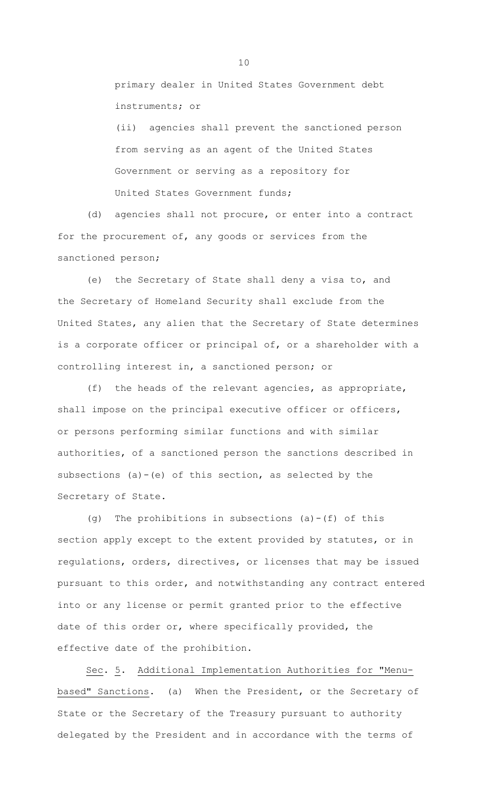primary dealer in United States Government debt instruments; or

(ii) agencies shall prevent the sanctioned person from serving as an agent of the United States Government or serving as a repository for United States Government funds;

(d) agencies shall not procure, or enter into a contract for the procurement of, any goods or services from the sanctioned person;

(e) the Secretary of State shall deny a visa to, and the Secretary of Homeland Security shall exclude from the United States, any alien that the Secretary of State determines is a corporate officer or principal of, or a shareholder with a controlling interest in, a sanctioned person; or

(f) the heads of the relevant agencies, as appropriate, shall impose on the principal executive officer or officers, or persons performing similar functions and with similar authorities, of a sanctioned person the sanctions described in subsections (a)-(e) of this section, as selected by the Secretary of State.

(g) The prohibitions in subsections (a)-(f) of this section apply except to the extent provided by statutes, or in regulations, orders, directives, or licenses that may be issued pursuant to this order, and notwithstanding any contract entered into or any license or permit granted prior to the effective date of this order or, where specifically provided, the effective date of the prohibition.

Sec. 5. Additional Implementation Authorities for "Menubased" Sanctions. (a) When the President, or the Secretary of State or the Secretary of the Treasury pursuant to authority delegated by the President and in accordance with the terms of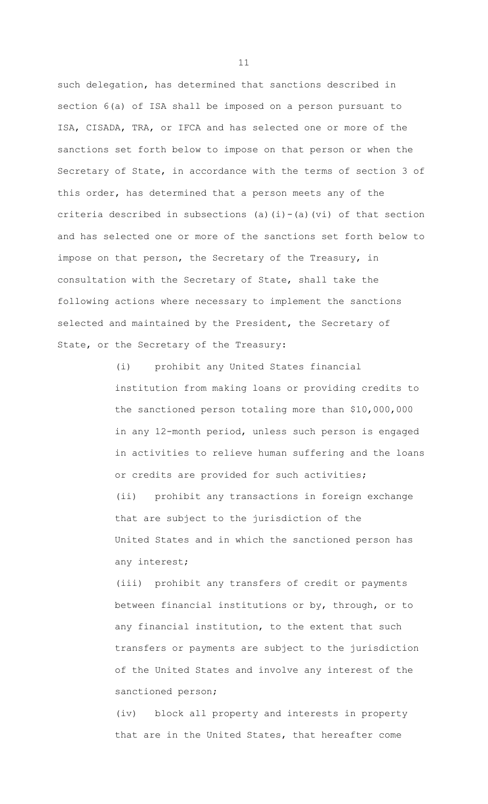such delegation, has determined that sanctions described in section 6(a) of ISA shall be imposed on a person pursuant to ISA, CISADA, TRA, or IFCA and has selected one or more of the sanctions set forth below to impose on that person or when the Secretary of State, in accordance with the terms of section 3 of this order, has determined that a person meets any of the criteria described in subsections (a)(i)-(a)(vi) of that section and has selected one or more of the sanctions set forth below to impose on that person, the Secretary of the Treasury, in consultation with the Secretary of State, shall take the following actions where necessary to implement the sanctions selected and maintained by the President, the Secretary of State, or the Secretary of the Treasury:

> (i) prohibit any United States financial institution from making loans or providing credits to the sanctioned person totaling more than \$10,000,000 in any 12-month period, unless such person is engaged in activities to relieve human suffering and the loans or credits are provided for such activities; (ii) prohibit any transactions in foreign exchange that are subject to the jurisdiction of the United States and in which the sanctioned person has any interest;

(iii) prohibit any transfers of credit or payments between financial institutions or by, through, or to any financial institution, to the extent that such transfers or payments are subject to the jurisdiction of the United States and involve any interest of the sanctioned person;

(iv) block all property and interests in property that are in the United States, that hereafter come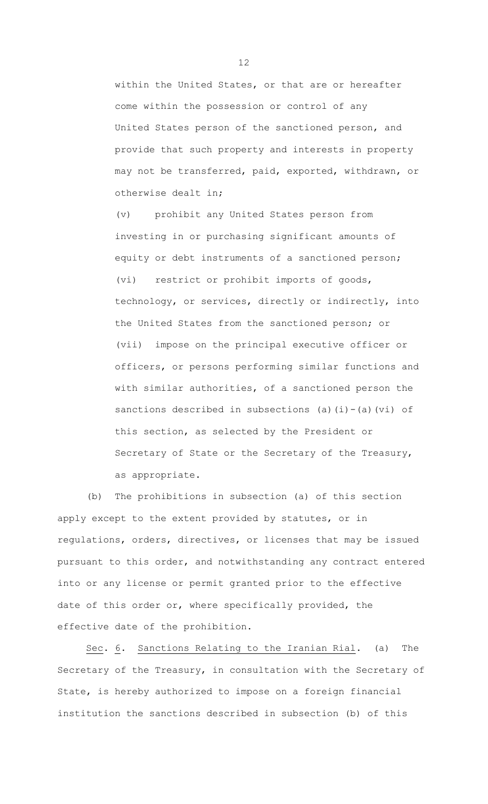within the United States, or that are or hereafter come within the possession or control of any United States person of the sanctioned person, and provide that such property and interests in property may not be transferred, paid, exported, withdrawn, or otherwise dealt in;

(v) prohibit any United States person from investing in or purchasing significant amounts of equity or debt instruments of a sanctioned person; (vi) restrict or prohibit imports of goods, technology, or services, directly or indirectly, into the United States from the sanctioned person; or (vii) impose on the principal executive officer or officers, or persons performing similar functions and with similar authorities, of a sanctioned person the sanctions described in subsections (a)(i)-(a)(vi) of this section, as selected by the President or Secretary of State or the Secretary of the Treasury, as appropriate.

(b) The prohibitions in subsection (a) of this section apply except to the extent provided by statutes, or in regulations, orders, directives, or licenses that may be issued pursuant to this order, and notwithstanding any contract entered into or any license or permit granted prior to the effective date of this order or, where specifically provided, the effective date of the prohibition.

Sec. 6. Sanctions Relating to the Iranian Rial. (a) The Secretary of the Treasury, in consultation with the Secretary of State, is hereby authorized to impose on a foreign financial institution the sanctions described in subsection (b) of this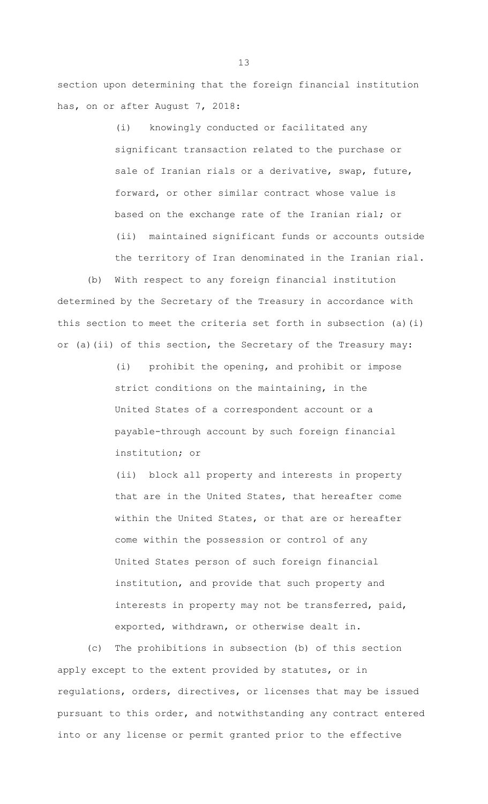section upon determining that the foreign financial institution has, on or after August 7, 2018:

> (i) knowingly conducted or facilitated any significant transaction related to the purchase or sale of Iranian rials or a derivative, swap, future, forward, or other similar contract whose value is based on the exchange rate of the Iranian rial; or (ii) maintained significant funds or accounts outside the territory of Iran denominated in the Iranian rial.

(b) With respect to any foreign financial institution determined by the Secretary of the Treasury in accordance with this section to meet the criteria set forth in subsection (a)(i) or (a)(ii) of this section, the Secretary of the Treasury may:

> (i) prohibit the opening, and prohibit or impose strict conditions on the maintaining, in the United States of a correspondent account or a payable-through account by such foreign financial institution; or

(ii) block all property and interests in property that are in the United States, that hereafter come within the United States, or that are or hereafter come within the possession or control of any United States person of such foreign financial institution, and provide that such property and interests in property may not be transferred, paid, exported, withdrawn, or otherwise dealt in.

(c) The prohibitions in subsection (b) of this section apply except to the extent provided by statutes, or in regulations, orders, directives, or licenses that may be issued pursuant to this order, and notwithstanding any contract entered into or any license or permit granted prior to the effective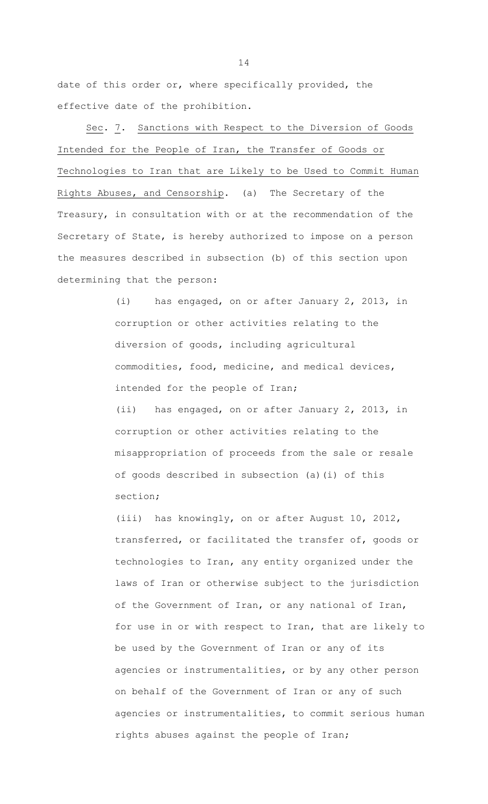date of this order or, where specifically provided, the effective date of the prohibition.

Sec. 7. Sanctions with Respect to the Diversion of Goods Intended for the People of Iran, the Transfer of Goods or Technologies to Iran that are Likely to be Used to Commit Human Rights Abuses, and Censorship. (a) The Secretary of the Treasury, in consultation with or at the recommendation of the Secretary of State, is hereby authorized to impose on a person the measures described in subsection (b) of this section upon determining that the person:

> (i) has engaged, on or after January 2, 2013, in corruption or other activities relating to the diversion of goods, including agricultural commodities, food, medicine, and medical devices, intended for the people of Iran; (ii) has engaged, on or after January 2, 2013, in corruption or other activities relating to the misappropriation of proceeds from the sale or resale of goods described in subsection (a)(i) of this section;

(iii) has knowingly, on or after August 10, 2012, transferred, or facilitated the transfer of, goods or technologies to Iran, any entity organized under the laws of Iran or otherwise subject to the jurisdiction of the Government of Iran, or any national of Iran, for use in or with respect to Iran, that are likely to be used by the Government of Iran or any of its agencies or instrumentalities, or by any other person on behalf of the Government of Iran or any of such agencies or instrumentalities, to commit serious human rights abuses against the people of Iran;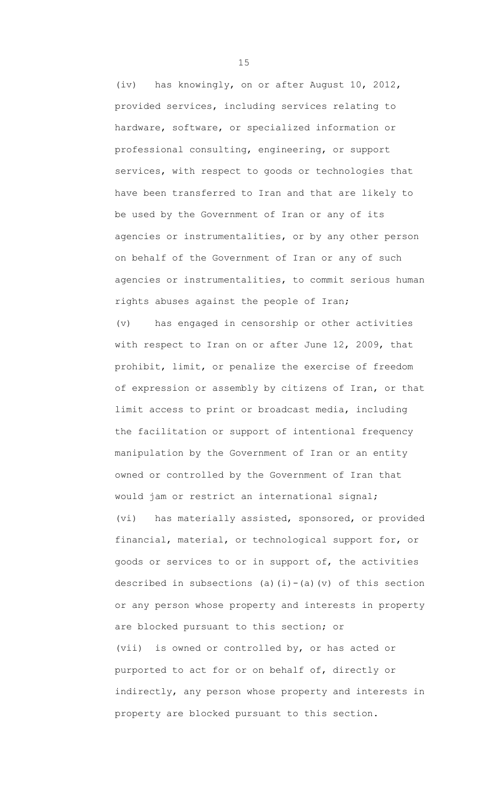(iv) has knowingly, on or after August 10, 2012, provided services, including services relating to hardware, software, or specialized information or professional consulting, engineering, or support services, with respect to goods or technologies that have been transferred to Iran and that are likely to be used by the Government of Iran or any of its agencies or instrumentalities, or by any other person on behalf of the Government of Iran or any of such agencies or instrumentalities, to commit serious human rights abuses against the people of Iran; (v) has engaged in censorship or other activities with respect to Iran on or after June 12, 2009, that prohibit, limit, or penalize the exercise of freedom of expression or assembly by citizens of Iran, or that limit access to print or broadcast media, including the facilitation or support of intentional frequency manipulation by the Government of Iran or an entity owned or controlled by the Government of Iran that would jam or restrict an international signal; (vi) has materially assisted, sponsored, or provided financial, material, or technological support for, or goods or services to or in support of, the activities described in subsections (a)(i)-(a)(v) of this section or any person whose property and interests in property are blocked pursuant to this section; or (vii) is owned or controlled by, or has acted or purported to act for or on behalf of, directly or indirectly, any person whose property and interests in property are blocked pursuant to this section.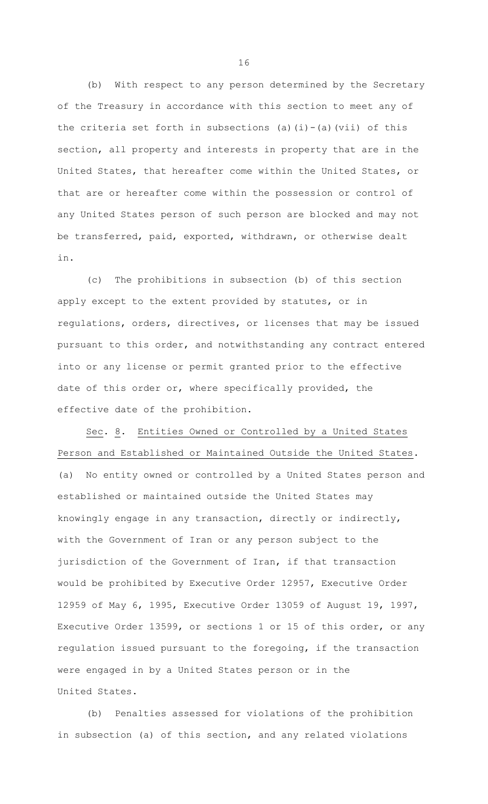(b) With respect to any person determined by the Secretary of the Treasury in accordance with this section to meet any of the criteria set forth in subsections (a)(i)-(a)(vii) of this section, all property and interests in property that are in the United States, that hereafter come within the United States, or that are or hereafter come within the possession or control of any United States person of such person are blocked and may not be transferred, paid, exported, withdrawn, or otherwise dealt in.

(c) The prohibitions in subsection (b) of this section apply except to the extent provided by statutes, or in regulations, orders, directives, or licenses that may be issued pursuant to this order, and notwithstanding any contract entered into or any license or permit granted prior to the effective date of this order or, where specifically provided, the effective date of the prohibition.

Sec. 8. Entities Owned or Controlled by a United States Person and Established or Maintained Outside the United States. (a) No entity owned or controlled by a United States person and established or maintained outside the United States may knowingly engage in any transaction, directly or indirectly, with the Government of Iran or any person subject to the jurisdiction of the Government of Iran, if that transaction would be prohibited by Executive Order 12957, Executive Order 12959 of May 6, 1995, Executive Order 13059 of August 19, 1997, Executive Order 13599, or sections 1 or 15 of this order, or any regulation issued pursuant to the foregoing, if the transaction were engaged in by a United States person or in the United States.

(b) Penalties assessed for violations of the prohibition in subsection (a) of this section, and any related violations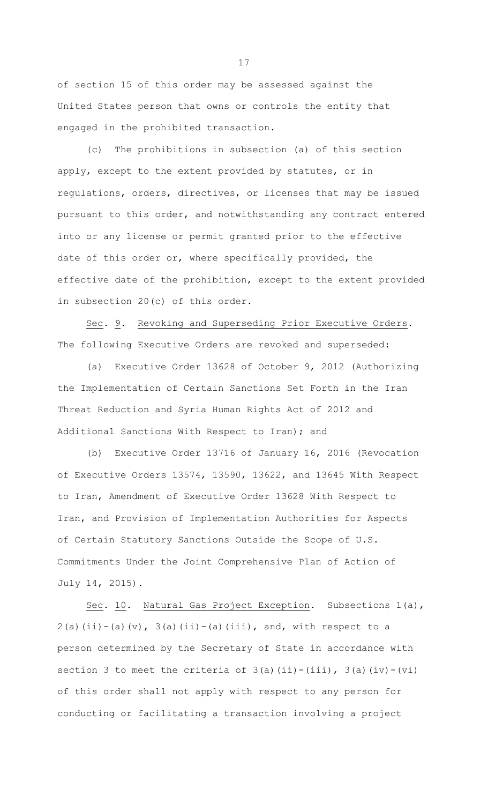of section 15 of this order may be assessed against the United States person that owns or controls the entity that engaged in the prohibited transaction.

(c) The prohibitions in subsection (a) of this section apply, except to the extent provided by statutes, or in regulations, orders, directives, or licenses that may be issued pursuant to this order, and notwithstanding any contract entered into or any license or permit granted prior to the effective date of this order or, where specifically provided, the effective date of the prohibition, except to the extent provided in subsection 20(c) of this order.

Sec. 9. Revoking and Superseding Prior Executive Orders. The following Executive Orders are revoked and superseded:

(a) Executive Order 13628 of October 9, 2012 (Authorizing the Implementation of Certain Sanctions Set Forth in the Iran Threat Reduction and Syria Human Rights Act of 2012 and Additional Sanctions With Respect to Iran); and

(b) Executive Order 13716 of January 16, 2016 (Revocation of Executive Orders 13574, 13590, 13622, and 13645 With Respect to Iran, Amendment of Executive Order 13628 With Respect to Iran, and Provision of Implementation Authorities for Aspects of Certain Statutory Sanctions Outside the Scope of U.S. Commitments Under the Joint Comprehensive Plan of Action of July 14, 2015).

Sec. 10. Natural Gas Project Exception. Subsections 1(a),  $2(a)(ii)-(a)(v)$ ,  $3(a)(ii)-(a)(iii)$ , and, with respect to a person determined by the Secretary of State in accordance with section 3 to meet the criteria of  $3(a)(ii)-(iii)$ ,  $3(a)(iv)-(vi)$ of this order shall not apply with respect to any person for conducting or facilitating a transaction involving a project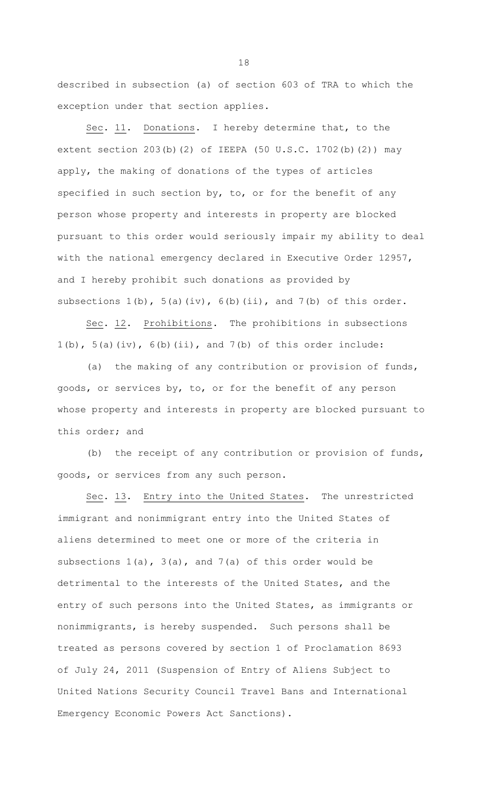described in subsection (a) of section 603 of TRA to which the exception under that section applies.

Sec. 11. Donations. I hereby determine that, to the extent section 203(b)(2) of IEEPA (50 U.S.C. 1702(b)(2)) may apply, the making of donations of the types of articles specified in such section by, to, or for the benefit of any person whose property and interests in property are blocked pursuant to this order would seriously impair my ability to deal with the national emergency declared in Executive Order 12957, and I hereby prohibit such donations as provided by subsections  $1(b)$ ,  $5(a)(iv)$ ,  $6(b)(ii)$ , and  $7(b)$  of this order.

Sec. 12. Prohibitions. The prohibitions in subsections  $1(b)$ ,  $5(a)(iv)$ ,  $6(b)(ii)$ , and  $7(b)$  of this order include:

(a) the making of any contribution or provision of funds, goods, or services by, to, or for the benefit of any person whose property and interests in property are blocked pursuant to this order; and

(b) the receipt of any contribution or provision of funds, goods, or services from any such person.

Sec. 13. Entry into the United States. The unrestricted immigrant and nonimmigrant entry into the United States of aliens determined to meet one or more of the criteria in subsections 1(a), 3(a), and 7(a) of this order would be detrimental to the interests of the United States, and the entry of such persons into the United States, as immigrants or nonimmigrants, is hereby suspended. Such persons shall be treated as persons covered by section 1 of Proclamation 8693 of July 24, 2011 (Suspension of Entry of Aliens Subject to United Nations Security Council Travel Bans and International Emergency Economic Powers Act Sanctions).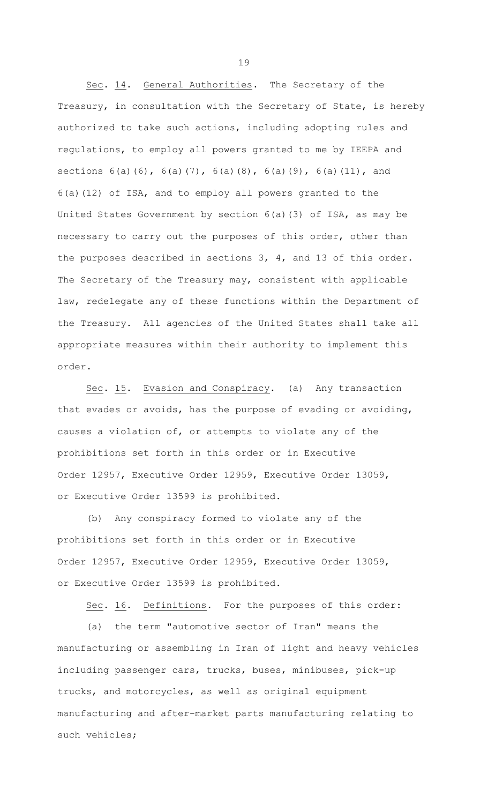Sec. 14. General Authorities. The Secretary of the Treasury, in consultation with the Secretary of State, is hereby authorized to take such actions, including adopting rules and regulations, to employ all powers granted to me by IEEPA and sections 6(a)(6), 6(a)(7), 6(a)(8), 6(a)(9), 6(a)(11), and 6(a)(12) of ISA, and to employ all powers granted to the United States Government by section 6(a)(3) of ISA, as may be necessary to carry out the purposes of this order, other than the purposes described in sections 3, 4, and 13 of this order. The Secretary of the Treasury may, consistent with applicable law, redelegate any of these functions within the Department of the Treasury. All agencies of the United States shall take all appropriate measures within their authority to implement this order.

Sec. 15. Evasion and Conspiracy. (a) Any transaction that evades or avoids, has the purpose of evading or avoiding, causes a violation of, or attempts to violate any of the prohibitions set forth in this order or in Executive Order 12957, Executive Order 12959, Executive Order 13059, or Executive Order 13599 is prohibited.

(b) Any conspiracy formed to violate any of the prohibitions set forth in this order or in Executive Order 12957, Executive Order 12959, Executive Order 13059, or Executive Order 13599 is prohibited.

Sec. 16. Definitions. For the purposes of this order:

(a) the term "automotive sector of Iran" means the manufacturing or assembling in Iran of light and heavy vehicles including passenger cars, trucks, buses, minibuses, pick-up trucks, and motorcycles, as well as original equipment manufacturing and after-market parts manufacturing relating to such vehicles;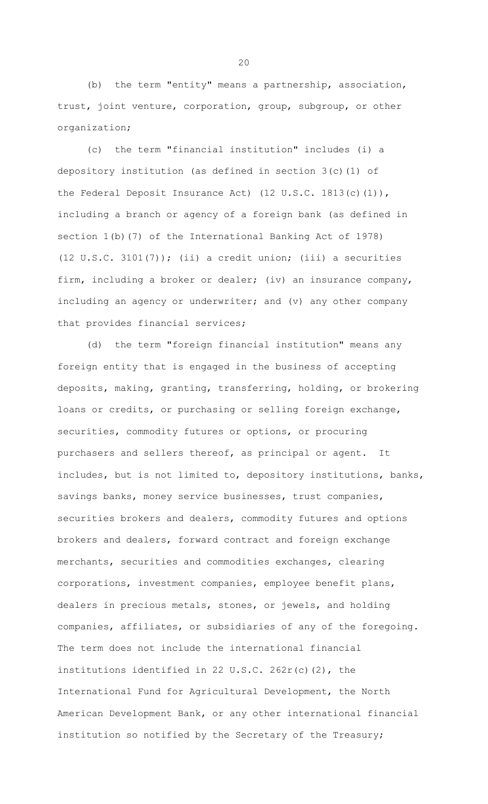(b) the term "entity" means a partnership, association, trust, joint venture, corporation, group, subgroup, or other organization;

(c) the term "financial institution" includes (i) a depository institution (as defined in section  $3(c)(1)$  of the Federal Deposit Insurance Act) (12 U.S.C. 1813(c)(1)), including a branch or agency of a foreign bank (as defined in section 1(b)(7) of the International Banking Act of 1978) (12 U.S.C. 3101 $(7)$ ); (ii) a credit union; (iii) a securities firm, including a broker or dealer; (iv) an insurance company, including an agency or underwriter; and (v) any other company that provides financial services;

(d) the term "foreign financial institution" means any foreign entity that is engaged in the business of accepting deposits, making, granting, transferring, holding, or brokering loans or credits, or purchasing or selling foreign exchange, securities, commodity futures or options, or procuring purchasers and sellers thereof, as principal or agent. It includes, but is not limited to, depository institutions, banks, savings banks, money service businesses, trust companies, securities brokers and dealers, commodity futures and options brokers and dealers, forward contract and foreign exchange merchants, securities and commodities exchanges, clearing corporations, investment companies, employee benefit plans, dealers in precious metals, stones, or jewels, and holding companies, affiliates, or subsidiaries of any of the foregoing. The term does not include the international financial institutions identified in 22 U.S.C. 262r(c)(2), the International Fund for Agricultural Development, the North American Development Bank, or any other international financial institution so notified by the Secretary of the Treasury;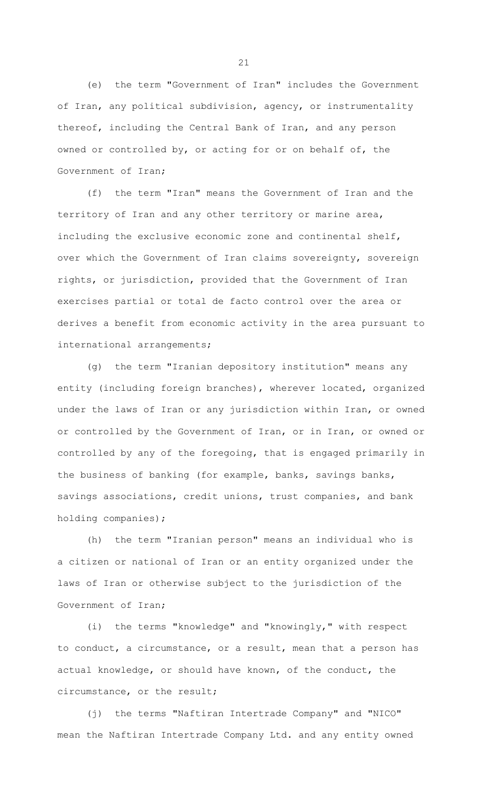(e) the term "Government of Iran" includes the Government of Iran, any political subdivision, agency, or instrumentality thereof, including the Central Bank of Iran, and any person owned or controlled by, or acting for or on behalf of, the Government of Iran;

(f) the term "Iran" means the Government of Iran and the territory of Iran and any other territory or marine area, including the exclusive economic zone and continental shelf, over which the Government of Iran claims sovereignty, sovereign rights, or jurisdiction, provided that the Government of Iran exercises partial or total de facto control over the area or derives a benefit from economic activity in the area pursuant to international arrangements;

(g) the term "Iranian depository institution" means any entity (including foreign branches), wherever located, organized under the laws of Iran or any jurisdiction within Iran, or owned or controlled by the Government of Iran, or in Iran, or owned or controlled by any of the foregoing, that is engaged primarily in the business of banking (for example, banks, savings banks, savings associations, credit unions, trust companies, and bank holding companies);

(h) the term "Iranian person" means an individual who is a citizen or national of Iran or an entity organized under the laws of Iran or otherwise subject to the jurisdiction of the Government of Iran;

(i) the terms "knowledge" and "knowingly," with respect to conduct, a circumstance, or a result, mean that a person has actual knowledge, or should have known, of the conduct, the circumstance, or the result;

(j) the terms "Naftiran Intertrade Company" and "NICO" mean the Naftiran Intertrade Company Ltd. and any entity owned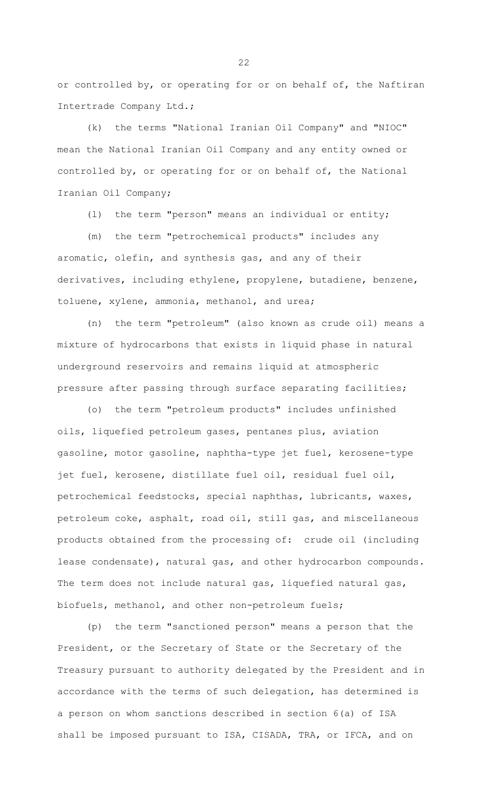or controlled by, or operating for or on behalf of, the Naftiran Intertrade Company Ltd.;

(k) the terms "National Iranian Oil Company" and "NIOC" mean the National Iranian Oil Company and any entity owned or controlled by, or operating for or on behalf of, the National Iranian Oil Company;

(l) the term "person" means an individual or entity;

(m) the term "petrochemical products" includes any aromatic, olefin, and synthesis gas, and any of their derivatives, including ethylene, propylene, butadiene, benzene, toluene, xylene, ammonia, methanol, and urea;

(n) the term "petroleum" (also known as crude oil) means a mixture of hydrocarbons that exists in liquid phase in natural underground reservoirs and remains liquid at atmospheric pressure after passing through surface separating facilities;

(o) the term "petroleum products" includes unfinished oils, liquefied petroleum gases, pentanes plus, aviation gasoline, motor gasoline, naphtha-type jet fuel, kerosene-type jet fuel, kerosene, distillate fuel oil, residual fuel oil, petrochemical feedstocks, special naphthas, lubricants, waxes, petroleum coke, asphalt, road oil, still gas, and miscellaneous products obtained from the processing of: crude oil (including lease condensate), natural gas, and other hydrocarbon compounds. The term does not include natural gas, liquefied natural gas, biofuels, methanol, and other non-petroleum fuels;

(p) the term "sanctioned person" means a person that the President, or the Secretary of State or the Secretary of the Treasury pursuant to authority delegated by the President and in accordance with the terms of such delegation, has determined is a person on whom sanctions described in section 6(a) of ISA shall be imposed pursuant to ISA, CISADA, TRA, or IFCA, and on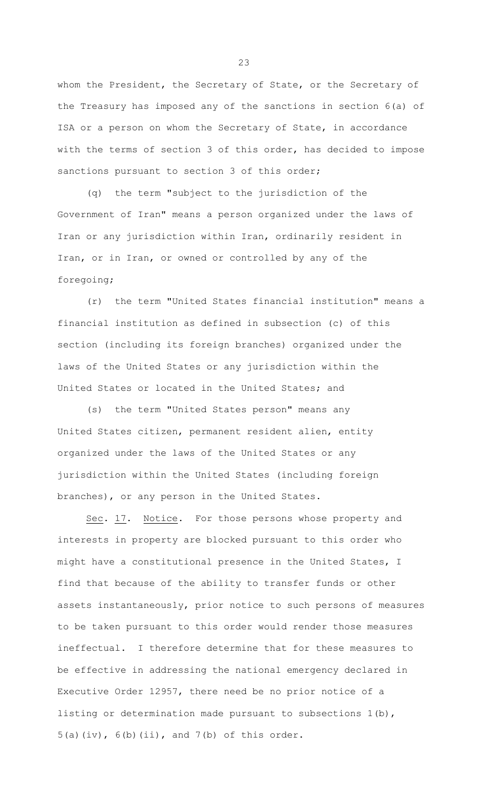whom the President, the Secretary of State, or the Secretary of the Treasury has imposed any of the sanctions in section 6(a) of ISA or a person on whom the Secretary of State, in accordance with the terms of section 3 of this order, has decided to impose sanctions pursuant to section 3 of this order;

(q) the term "subject to the jurisdiction of the Government of Iran" means a person organized under the laws of Iran or any jurisdiction within Iran, ordinarily resident in Iran, or in Iran, or owned or controlled by any of the foregoing;

(r) the term "United States financial institution" means a financial institution as defined in subsection (c) of this section (including its foreign branches) organized under the laws of the United States or any jurisdiction within the United States or located in the United States; and

(s) the term "United States person" means any United States citizen, permanent resident alien, entity organized under the laws of the United States or any jurisdiction within the United States (including foreign branches), or any person in the United States.

Sec. 17. Notice. For those persons whose property and interests in property are blocked pursuant to this order who might have a constitutional presence in the United States, I find that because of the ability to transfer funds or other assets instantaneously, prior notice to such persons of measures to be taken pursuant to this order would render those measures ineffectual. I therefore determine that for these measures to be effective in addressing the national emergency declared in Executive Order 12957, there need be no prior notice of a listing or determination made pursuant to subsections 1(b),  $5(a)(iv)$ ,  $6(b)(ii)$ , and  $7(b)$  of this order.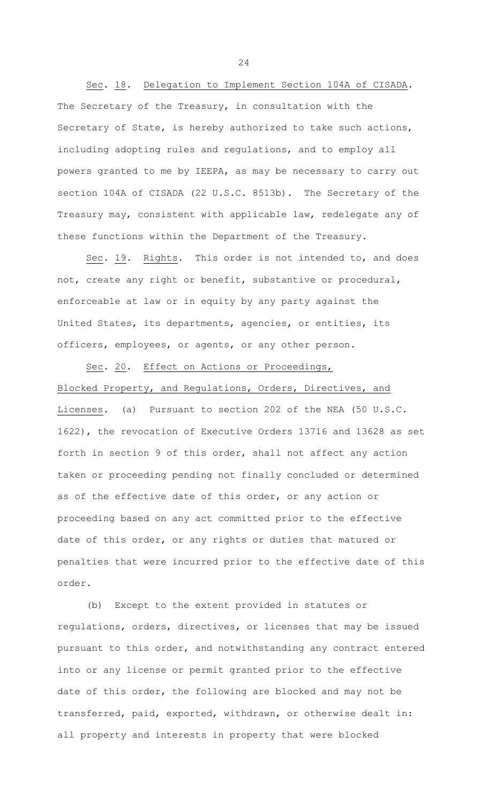Sec. 18. Delegation to Implement Section 104A of CISADA. The Secretary of the Treasury, in consultation with the Secretary of State, is hereby authorized to take such actions, including adopting rules and regulations, and to employ all powers granted to me by IEEPA, as may be necessary to carry out section 104A of CISADA (22 U.S.C. 8513b). The Secretary of the Treasury may, consistent with applicable law, redelegate any of these functions within the Department of the Treasury.

Sec. 19. Rights. This order is not intended to, and does not, create any right or benefit, substantive or procedural, enforceable at law or in equity by any party against the United States, its departments, agencies, or entities, its officers, employees, or agents, or any other person.

Sec. 20. Effect on Actions or Proceedings, Blocked Property, and Regulations, Orders, Directives, and Licenses. (a) Pursuant to section 202 of the NEA (50 U.S.C. 1622), the revocation of Executive Orders 13716 and 13628 as set forth in section 9 of this order, shall not affect any action taken or proceeding pending not finally concluded or determined as of the effective date of this order, or any action or proceeding based on any act committed prior to the effective date of this order, or any rights or duties that matured or penalties that were incurred prior to the effective date of this order.

(b) Except to the extent provided in statutes or regulations, orders, directives, or licenses that may be issued pursuant to this order, and notwithstanding any contract entered into or any license or permit granted prior to the effective date of this order, the following are blocked and may not be transferred, paid, exported, withdrawn, or otherwise dealt in: all property and interests in property that were blocked